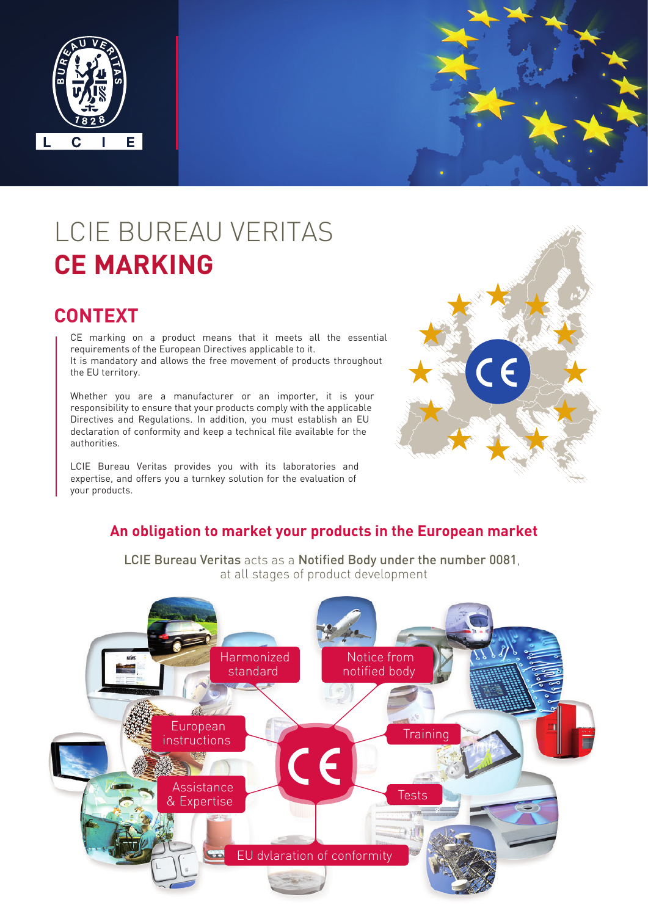

# LCIE BUREAU VERITAS **CE MARKING**

### **CONTEXT**

CE marking on a product means that it meets all the essential requirements of the European Directives applicable to it. It is mandatory and allows the free movement of products throughout the EU territory.

Whether you are a manufacturer or an importer, it is your responsibility to ensure that your products comply with the applicable Directives and Regulations. In addition, you must establish an EU declaration of conformity and keep a technical file available for the authorities.

LCIE Bureau Veritas provides you with its laboratories and expertise, and offers you a turnkey solution for the evaluation of your products.



#### **An obligation to market your products in the European market**

LCIE Bureau Veritas acts as a Notified Body under the number 0081, at all stages of product development